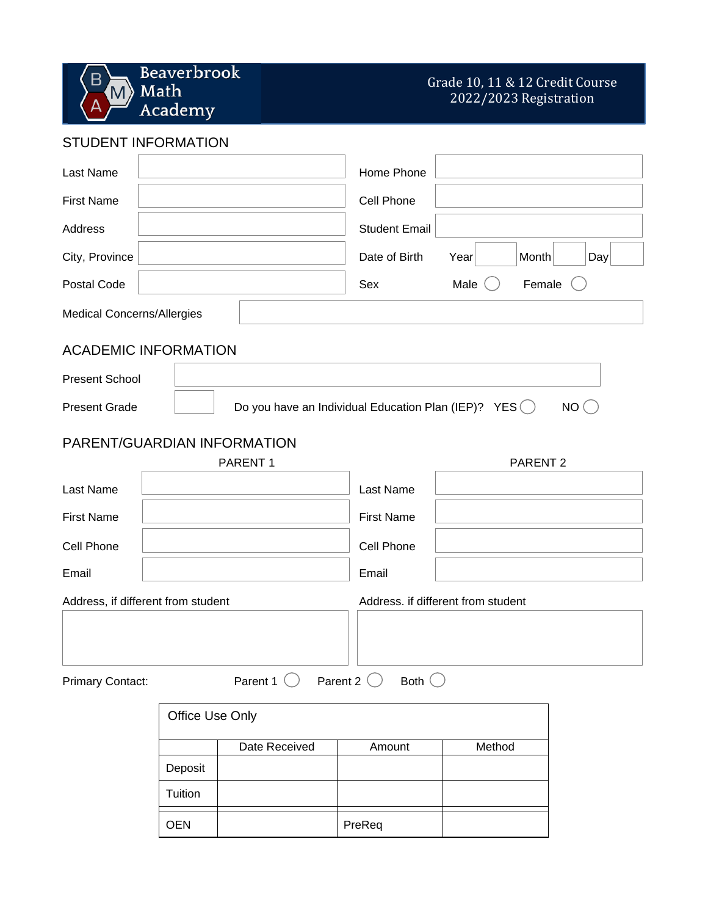Beaverbrook  $\overline{B}$  $\blacksquare$  Math Academy

## Grade 10, 11 & 12 Credit Course 2022/2023 Registration

STUDENT INFORMATION

| Last Name                                                                                 |                 |               | Home Phone           |                                    |        |     |  |  |
|-------------------------------------------------------------------------------------------|-----------------|---------------|----------------------|------------------------------------|--------|-----|--|--|
| <b>First Name</b>                                                                         |                 |               | Cell Phone           |                                    |        |     |  |  |
| Address                                                                                   |                 |               | <b>Student Email</b> |                                    |        |     |  |  |
| City, Province                                                                            |                 |               | Date of Birth        | Year                               | Month  | Day |  |  |
| Postal Code                                                                               |                 |               | Sex                  | Male                               | Female |     |  |  |
| <b>Medical Concerns/Allergies</b>                                                         |                 |               |                      |                                    |        |     |  |  |
| <b>ACADEMIC INFORMATION</b>                                                               |                 |               |                      |                                    |        |     |  |  |
| <b>Present School</b>                                                                     |                 |               |                      |                                    |        |     |  |  |
| Do you have an Individual Education Plan (IEP)? $YES$ $()$<br>NO(<br><b>Present Grade</b> |                 |               |                      |                                    |        |     |  |  |
| PARENT/GUARDIAN INFORMATION                                                               |                 |               |                      |                                    |        |     |  |  |
| PARENT <sub>2</sub><br>PARENT <sub>1</sub>                                                |                 |               |                      |                                    |        |     |  |  |
| Last Name                                                                                 |                 |               | Last Name            |                                    |        |     |  |  |
| <b>First Name</b>                                                                         |                 |               | <b>First Name</b>    |                                    |        |     |  |  |
| Cell Phone                                                                                |                 |               | Cell Phone           |                                    |        |     |  |  |
| Email                                                                                     |                 |               | Email                |                                    |        |     |  |  |
| Address, if different from student                                                        |                 |               |                      | Address. if different from student |        |     |  |  |
|                                                                                           |                 |               |                      |                                    |        |     |  |  |
|                                                                                           |                 |               |                      |                                    |        |     |  |  |
| Parent 1 $\bigcirc$ Parent 2 $\bigcirc$<br>Both $\bigcirc$<br>Primary Contact:            |                 |               |                      |                                    |        |     |  |  |
|                                                                                           | Office Use Only |               |                      |                                    |        |     |  |  |
|                                                                                           |                 | Date Received | Amount               | Method                             |        |     |  |  |
|                                                                                           | Deposit         |               |                      |                                    |        |     |  |  |
|                                                                                           | Tuition         |               |                      |                                    |        |     |  |  |
|                                                                                           | <b>OEN</b>      |               | PreReq               |                                    |        |     |  |  |